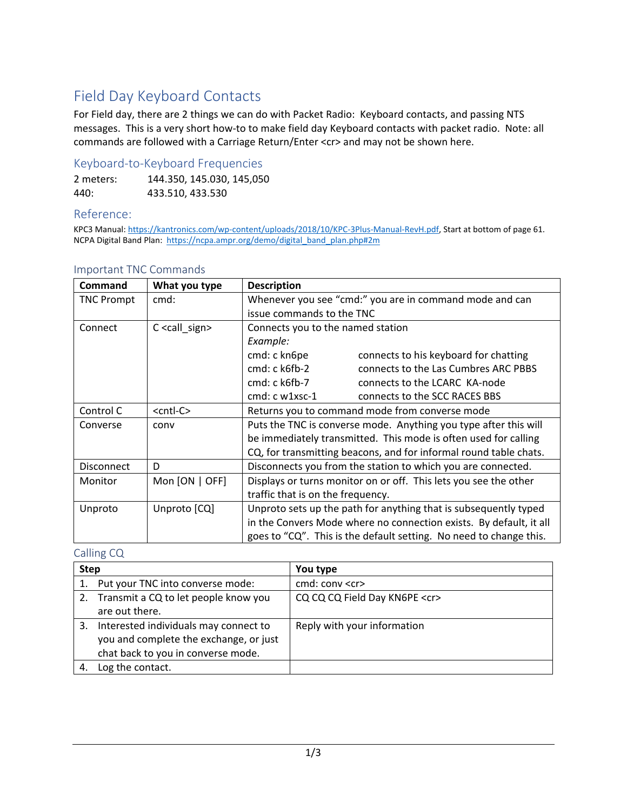# Field Day Keyboard Contacts

For Field day, there are 2 things we can do with Packet Radio: Keyboard contacts, and passing NTS messages. This is a very short how-to to make field day Keyboard contacts with packet radio. Note: all commands are followed with a Carriage Return/Enter <cr> and may not be shown here.

## Keyboard‐to‐Keyboard Frequencies

2 meters: 144.350, 145.030, 145,050 440: 433.510, 433.530

## Reference:

KPC3 Manual: https://kantronics.com/wp-content/uploads/2018/10/KPC-3Plus-Manual-RevH.pdf, Start at bottom of page 61. NCPA Digital Band Plan: https://ncpa.ampr.org/demo/digital\_band\_plan.php#2m

| <b>Command</b>    | What you type             | <b>Description</b>                                                 |  |  |
|-------------------|---------------------------|--------------------------------------------------------------------|--|--|
| <b>TNC Prompt</b> | cmd:                      | Whenever you see "cmd:" you are in command mode and can            |  |  |
|                   |                           | issue commands to the TNC                                          |  |  |
| Connect           | C <call_sign></call_sign> | Connects you to the named station                                  |  |  |
|                   |                           | Example:                                                           |  |  |
|                   |                           | cmd: c kn6pe<br>connects to his keyboard for chatting              |  |  |
|                   |                           | cmd: c k6fb-2<br>connects to the Las Cumbres ARC PBBS              |  |  |
|                   |                           | cmd: c k6fb-7<br>connects to the LCARC KA-node                     |  |  |
|                   |                           | cmd: c w1xsc-1<br>connects to the SCC RACES BBS                    |  |  |
| Control C         | <cntl-c></cntl-c>         | Returns you to command mode from converse mode                     |  |  |
| Converse          | conv                      | Puts the TNC is converse mode. Anything you type after this will   |  |  |
|                   |                           | be immediately transmitted. This mode is often used for calling    |  |  |
|                   |                           | CQ, for transmitting beacons, and for informal round table chats.  |  |  |
| Disconnect        | D                         | Disconnects you from the station to which you are connected.       |  |  |
| Monitor           | Mon $[ON   OFF]$          | Displays or turns monitor on or off. This lets you see the other   |  |  |
|                   |                           | traffic that is on the frequency.                                  |  |  |
| Unproto           | Unproto [CQ]              | Unproto sets up the path for anything that is subsequently typed   |  |  |
|                   |                           | in the Convers Mode where no connection exists. By default, it all |  |  |
|                   |                           | goes to "CQ". This is the default setting. No need to change this. |  |  |

### Important TNC Commands

## Calling CQ

| <b>Step</b> |                                         | You type                           |
|-------------|-----------------------------------------|------------------------------------|
|             | Put your TNC into converse mode:        | cmd: conv <cr></cr>                |
|             | 2. Transmit a CQ to let people know you | CQ CQ CQ Field Day KN6PE <cr></cr> |
|             | are out there.                          |                                    |
| 3.          | Interested individuals may connect to   | Reply with your information        |
|             | you and complete the exchange, or just  |                                    |
|             | chat back to you in converse mode.      |                                    |
|             | Log the contact.                        |                                    |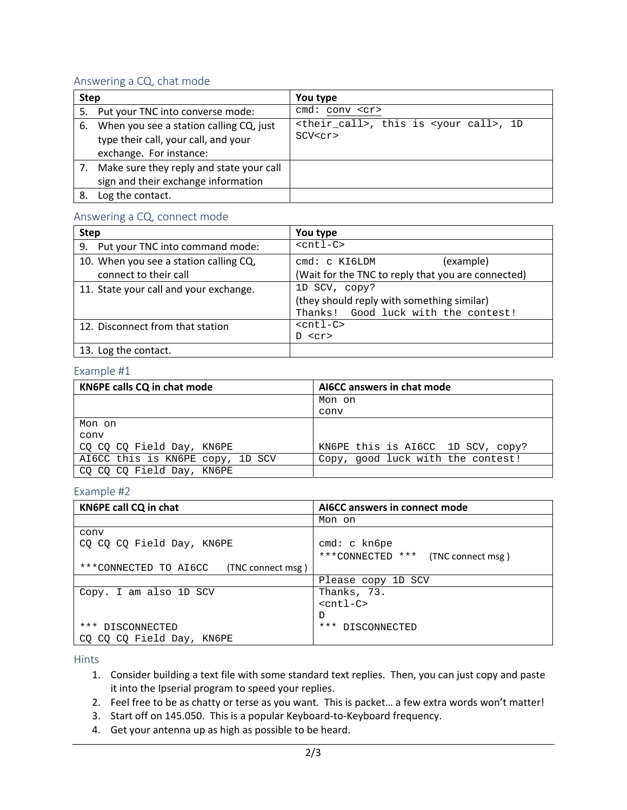## Answering a CQ, chat mode

| <b>Step</b> |                                                                                                            | You type                                                                      |
|-------------|------------------------------------------------------------------------------------------------------------|-------------------------------------------------------------------------------|
|             | 5. Put your TNC into converse mode:                                                                        | $cmd: conv < c$ r>                                                            |
| 6.          | When you see a station calling CQ, just<br>type their call, your call, and your<br>exchange. For instance: | <their_call>, this is <your call="">, 1D<br/>SCV<cr></cr></your></their_call> |
|             | Make sure they reply and state your call<br>sign and their exchange information                            |                                                                               |
| 8.          | Log the contact.                                                                                           |                                                                               |

#### Answering a CQ, connect mode

| <b>Step</b>                            | You type                                           |
|----------------------------------------|----------------------------------------------------|
| 9. Put your TNC into command mode:     | $<$ cntl-C>                                        |
| 10. When you see a station calling CQ, | (example)<br>cmd: c KI6LDM                         |
| connect to their call                  | (Wait for the TNC to reply that you are connected) |
| 11. State your call and your exchange. | 1D SCV, copy?                                      |
|                                        | (they should reply with something similar)         |
|                                        | Thanks! Good luck with the contest!                |
| 12. Disconnect from that station       | $<$ cntl-C $>$                                     |
|                                        | D < c r                                            |
| 13. Log the contact.                   |                                                    |

#### Example #1

| KN6PE calls CQ in chat mode      | AI6CC answers in chat mode        |
|----------------------------------|-----------------------------------|
|                                  | Mon on                            |
|                                  | conv                              |
| Mon on                           |                                   |
| conv                             |                                   |
| CO CO CO Field Day, KN6PE        | KN6PE this is AI6CC 1D SCV, copy? |
| AI6CC this is KN6PE copy, 1D SCV | Copy, good luck with the contest! |
| CQ CQ CQ Field Day, KN6PE        |                                   |

#### Example #2

| KN6PE call CQ in chat                      | AI6CC answers in connect mode         |
|--------------------------------------------|---------------------------------------|
|                                            | Mon on                                |
| conv                                       |                                       |
| CO CO CO Field Day, KN6PE                  | cmd: c kn6pe                          |
|                                            | ***CONNECTED ***<br>(TNC connect msg) |
| ***CONNECTED TO AI6CC<br>(TNC connect msg) |                                       |
|                                            | Please copy 1D SCV                    |
| Copy. I am also 1D SCV                     | Thanks, 73.                           |
|                                            | $<$ cntl-C>                           |
|                                            | D                                     |
| *** DISCONNECTED                           | *** DISCONNECTED                      |
| CO CO CO Field Day, KN6PE                  |                                       |

Hints

- 1. Consider building a text file with some standard text replies. Then, you can just copy and paste it into the Ipserial program to speed your replies.
- 2. Feel free to be as chatty or terse as you want. This is packet… a few extra words won't matter!
- 3. Start off on 145.050. This is a popular Keyboard-to-Keyboard frequency.
- 4. Get your antenna up as high as possible to be heard.